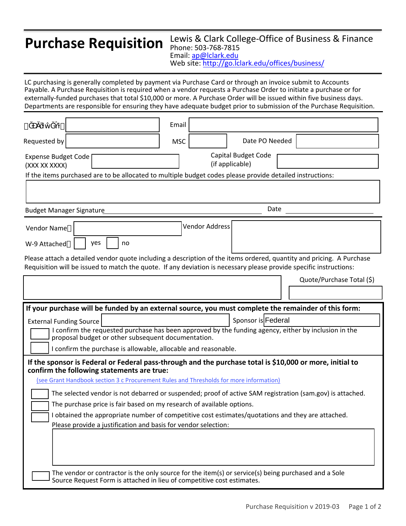## **Purchase Requisition**

## Lewis & Clark College-Office of Business & Finance Phone: 503-768-7815 Email: ap@lclark.edu Website: http://go.lclark.edu/offices/business/

LC purchasing is generally completed by payment via Purchase Card or through an invoice submit to Accounts Payable. A Purchase Requisition is required when a vendor requests a Purchase Order to initiate a purchase or for externally-funded purchases that total \$10,000 or more. A Purchase Order will be issued within five business days. Departments are responsible for ensuring they have adequate budget prior to submission of the Purchase Requisition.

| Email<br>Department                                                                                                                                                                                                                        |                                               |  |
|--------------------------------------------------------------------------------------------------------------------------------------------------------------------------------------------------------------------------------------------|-----------------------------------------------|--|
| Requested by<br><b>MSC</b>                                                                                                                                                                                                                 | Date PO Needed                                |  |
| <b>Expense Budget Code</b><br>(XXX-XX-XXXX)                                                                                                                                                                                                | <b>Capital Budget Code</b><br>(if applicable) |  |
| If the items purchased are to be allocated to multiple budget codes please provide detailed instructions:                                                                                                                                  |                                               |  |
|                                                                                                                                                                                                                                            |                                               |  |
| <b>Budget Manager Signature</b>                                                                                                                                                                                                            | Date                                          |  |
| Vendor Address<br>Vendor Name                                                                                                                                                                                                              |                                               |  |
| yes<br>no<br>W-9 Attached                                                                                                                                                                                                                  |                                               |  |
| Please attach a detailed vendor quote including a description of the items ordered, quantity and pricing. A Purchase<br>Requisition will be issued to match the quote. If any deviation is necessary please provide specific instructions: |                                               |  |
|                                                                                                                                                                                                                                            | Quote/Purchase Total (\$)                     |  |
|                                                                                                                                                                                                                                            |                                               |  |
|                                                                                                                                                                                                                                            |                                               |  |
| If your purchase will be funded by an external source, you must complete the remainder of this form:                                                                                                                                       |                                               |  |
| <b>External Funding Source</b>                                                                                                                                                                                                             | Sponsor is Federal                            |  |
| I confirm the requested purchase has been approved by the funding agency, either by inclusion in the<br>proposal budget or other subsequent documentation.                                                                                 |                                               |  |
| I confirm the purchase is allowable, allocable and reasonable.                                                                                                                                                                             |                                               |  |
| If the sponsor is Federal or Federal pass-through and the purchase total is \$10,000 or more, initial to<br>confirm the following statements are true:                                                                                     |                                               |  |
| (see Grant Handbook section 3 c Procurement Rules and Thresholds for more information)                                                                                                                                                     |                                               |  |
| The selected vendor is not debarred or suspended; proof of active SAM registration (sam.gov) is attached.                                                                                                                                  |                                               |  |
| The purchase price is fair based on my research of available options.                                                                                                                                                                      |                                               |  |
| obtained the appropriate number of competitive cost estimates/quotations and they are attached. Please<br>provide a justification and basis for vendor selection:                                                                          |                                               |  |
|                                                                                                                                                                                                                                            |                                               |  |
|                                                                                                                                                                                                                                            |                                               |  |
| The vendor or contractor is the only source for the item(s) or service(s) being purchased and a Sole Source                                                                                                                                |                                               |  |